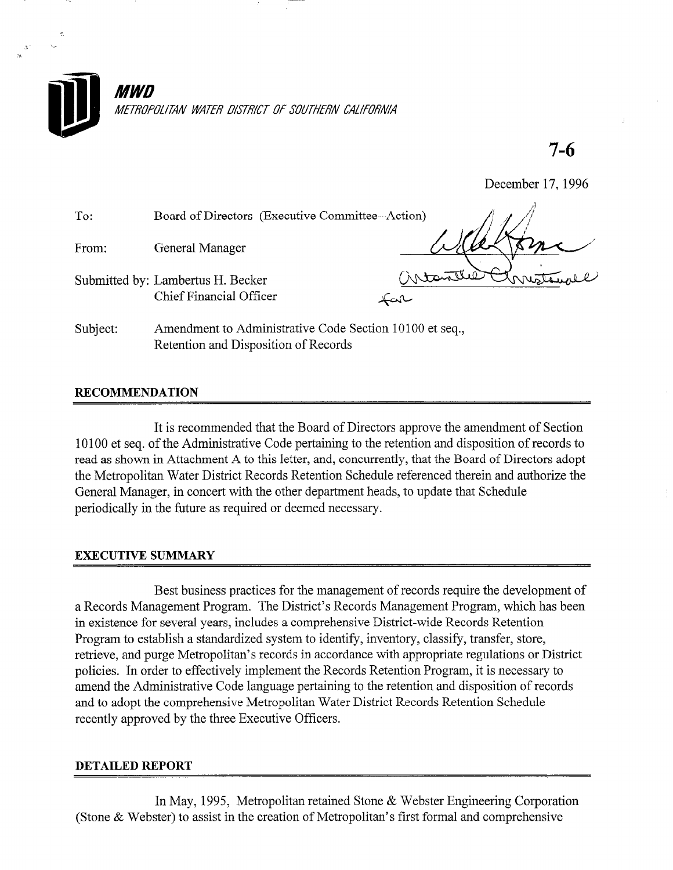

7-6

December 17,1996

| To:      | Board of Directors (Executive Committee--Action)                                                |        |
|----------|-------------------------------------------------------------------------------------------------|--------|
| From:    | General Manager                                                                                 |        |
|          | Submitted by: Lambertus H. Becker<br><b>Chief Financial Officer</b>                             | ساكمہَ |
| Subject: | Amendment to Administrative Code Section 10100 et seq.,<br>Retention and Disposition of Records |        |

## RECOMMENDATION

It is recommended that the Board of Directors approve the amendment of Section 10100 et seq. of the Administrative Code pertaining to the retention and disposition of records to read as shown in Attachment A to this letter, and, concurrently, that the Board of Directors adopt the Metropolitan Water District Records Retention Schedule referenced therein and authorize the General Manager, in concert with the other department heads, to update that Schedule periodically in the future as required or deemed necessary.

## EXECUTIVE SUMMARY

Best business practices for the management of records require the development of a Records Management Program. The District's Records Management Program, which has been in existence for several years, includes a comprehensive District-wide Records Retention Program to establish a standardized system to identify, inventory, classify, transfer, store, retrieve, and purge Metropolitan's records in accordance with appropriate regulations or District policies. In order to effectively implement the Records Retention Program, it is necessary to amend the Administrative Code language pertaining to the retention and disposition of records and to adopt the comprehensive Metropolitan Water District Records Retention Schedule recently approved by the three Executive Officers.

#### DETAILED REPORT

In May, 1995, Metropolitan retained Stone & Webster Engineering Corporation (Stone & Webster) to assist in the creation of Metropolitan's first formal and comprehensive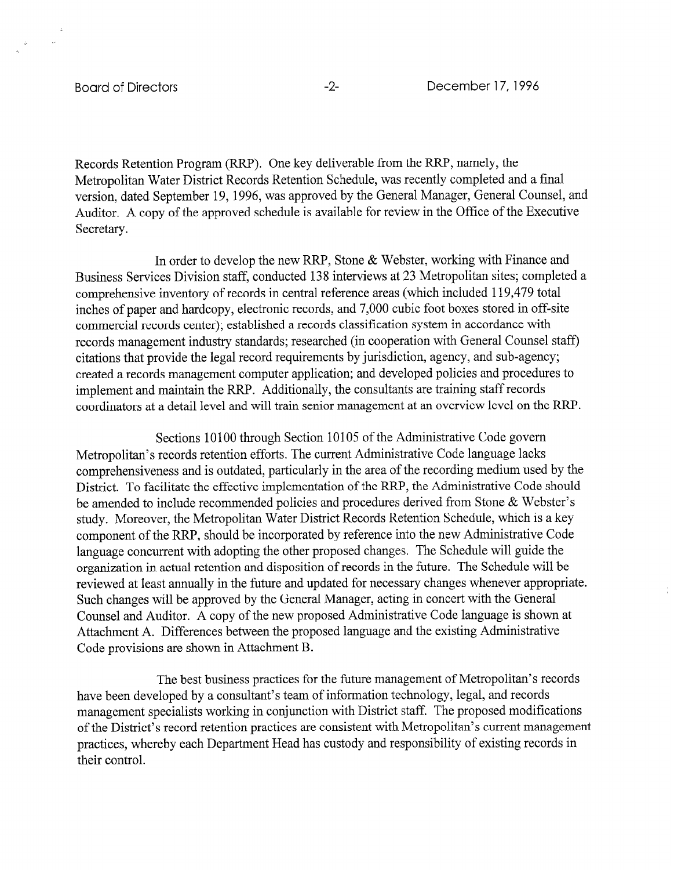Records Retention Program (RRP). One key deliverable from the RRP, namely, the Metropolitan Water District Records Retention Schedule, was recently completed and a final version, dated September 19, 1996, was approved by the General Manager, General Counsel, and Auditor. A copy of the approved schedule is available for review in the Office of the Executive Secretary.

In order to develop the new RRP, Stone & Webster, working with Finance and Business Services Division staff, conducted 138 interviews at 23 Metropolitan sites; completed a comprehensive inventory of records in central reference areas (which included 119,479 total inches of paper and hardcopy, electronic records, and 7,000 cubic foot boxes stored in off-site commercial records center); established a records classification system in accordance with records management industry standards; researched (in cooperation with General Counsel staff) citations that provide the legal record requirements by jurisdiction, agency, and sub-agency; created a records management computer application; and developed policies and procedures to implement and maintain the RRP. Additionally, the consultants are training staff records coordinators at a detail level and will train senior management at an overview level on the RRP.

Sections 10100 through Section 10105 of the Administrative Code govern Metropolitan's records retention efforts. The current Administrative Code language lacks comprehensiveness and is outdated, particularly in the area of the recording medium used by the District. To facilitate the effective implementation of the RRP, the Administrative Code should be amended to include recommended policies and procedures derived from Stone & Webster's study. Moreover, the Metropolitan Water District Records Retention Schedule, which is a key component of the RRP, should be incorporated by reference into the new Administrative Code language concurrent with adopting the other proposed changes. The Schedule will guide the organization in actual retention and disposition of records in the future. The Schedule will be reviewed at least annually in the future and updated for necessary changes whenever appropriate. Such changes will be approved by the General Manager, acting in concert with the General Counsel and Auditor. A copy of the new proposed Administrative Code language is shown at Attachment A. Differences between the proposed language and the existing Administrative Code provisions are shown in Attachment B.

The best business practices for the future management of Metropolitan's records have been developed by a consultant's team of information technology, legal, and records management specialists working in conjunction with District staff. The proposed modifications of the District's record retention practices are consistent with Metropolitan's current management practices, whereby each Department Head has custody and responsibility of existing records in their control.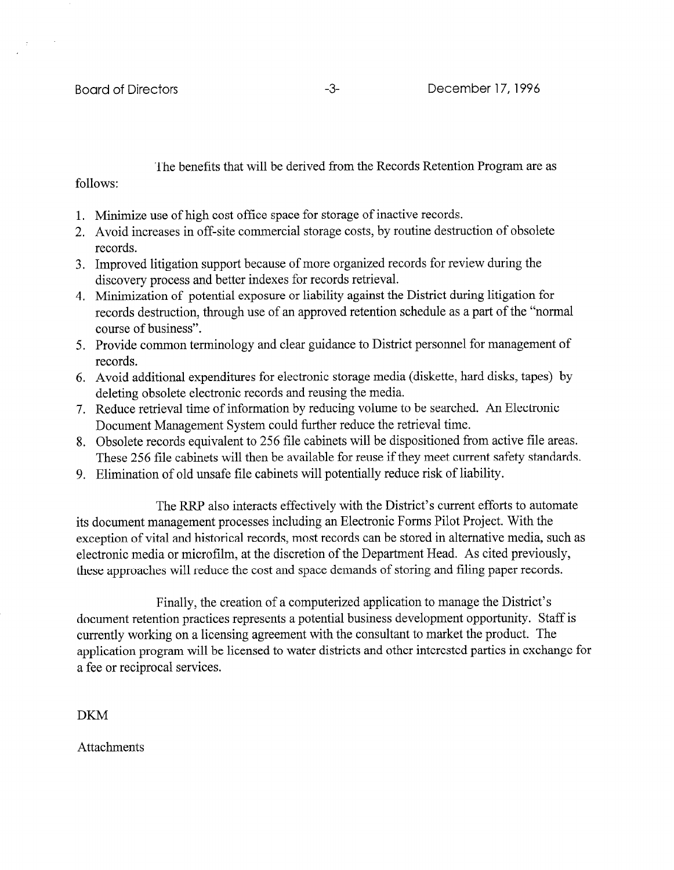The benefits that will be derived from the Records Retention Program are as

follows:

- 1. Minimize use of high cost office space for storage of inactive records.
- 2. Avoid increases in off-site commercial storage costs, by routine destruction of obsolete records.
- 3. Improved litigation support because of more organized records for review during the discovery process and better indexes for records retrieval.
- 4. Minimization of potential exposure or liability against the District during litigation for records destruction, through use of an approved retention schedule as a part of the "normal course of business".
- 5. Provide common terminology and clear guidance to District personnel for management of records.
- 6. Avoid additional expenditures for electronic storage media (diskette, hard disks, tapes) by deleting obsolete electronic records and reusing the media.
- 7. Reduce retrieval time of information by reducing volume to be searched. An Electronic Document Management System could further reduce the retrieval time.
- 8. Obsolete records equivalent to 256 file cabinets will be dispositioned from active file areas. These 256 file cabinets will then be available for reuse if they meet current safety standards.
- 9. Elimination of old unsafe file cabinets will potentially reduce risk of liability.

The RRP also interacts effectively with the District's current efforts to automate its document management processes including an Electronic Forms Pilot Project. With the exception of vital and historical records, most records can be stored in alternative media, such as electronic media or microfilm, at the discretion of the Department Head. As cited previously, these approaches will reduce the cost and space demands of storing and filing paper records.

Finally, the creation of a computerized application to manage the District's document retention practices represents a potential business development opportunity. Staff is currently working on a licensing agreement with the consultant to market the product. The application program will be licensed to water districts and other interested parties in exchange for a fee or reciprocal services.

DKM

Attachments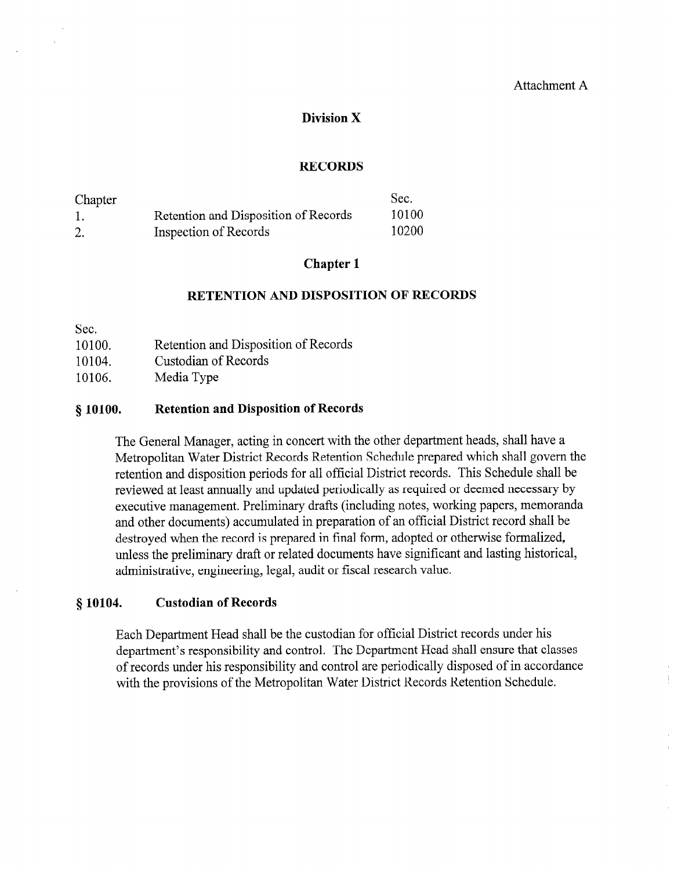## Division X

#### RECORDS

| Chapter |                                      | Sec.  |
|---------|--------------------------------------|-------|
|         | Retention and Disposition of Records | 10100 |
|         | Inspection of Records                | 10200 |

## Chapter 1

#### RETENTION AND DISPOSITION OF RECORDS

Sec.

| 10100. | Retention and Disposition of Records |  |  |
|--------|--------------------------------------|--|--|
|        |                                      |  |  |

10104. Custodian of Records

10106. Media Type

#### 8 10100. Retention and Disposition of Records

The General Manager, acting in concert with the other department heads, shall have a Metropolitan Water District Records Retention Schedule prepared which shall govern the retention and disposition periods for all official District records. This Schedule shall be reviewed at least annually and updated periodically as required or deemed necessary by executive management. Preliminary drafts (including notes, working papers, memoranda and other documents) accumulated in preparation of an official District record shall be destroyed when the record is prepared in final form, adopted or otherwise formalized, unless the preliminary draft or related documents have significant and lasting historical, administrative, engineering, legal, audit or fiscal research value.

## § 10104. Custodian of Records

Each Department Head shall be the custodian for official District records under his department's responsibility and control. The Department Head shall ensure that classes of records under his responsibility and control are periodically disposed of in accordance with the provisions of the Metropolitan Water District Records Retention Schedule.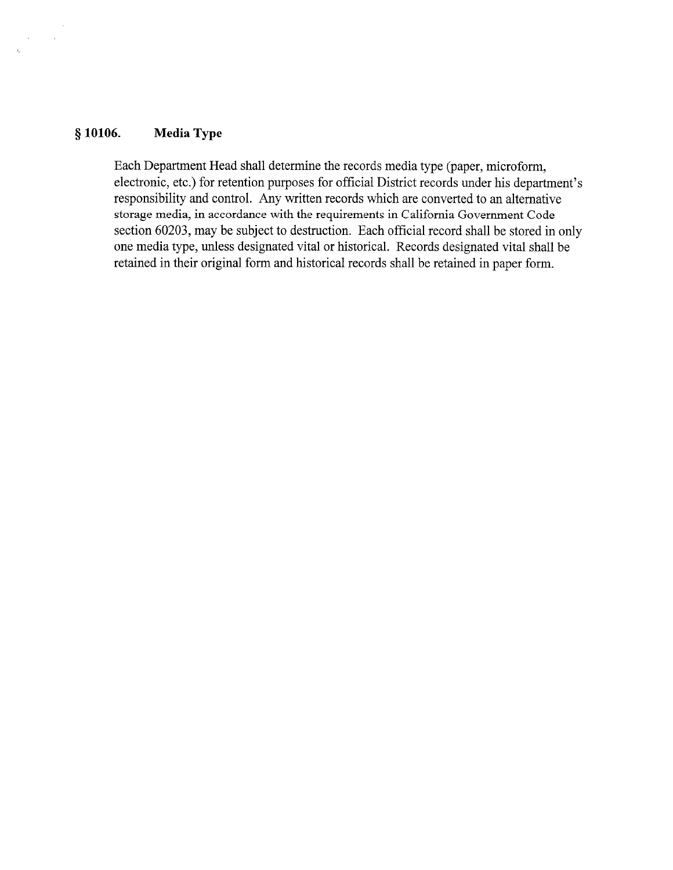#### 8 10106. Media Type

 $\Delta \phi = 0.1$ 

Each Department Head shall determine the records media type (paper, microform, electronic, etc.) for retention purposes for official District records under his department's responsibility and control. Any written records which are converted to an alternative storage media, in accordance with the requirements in California Government Code section 60203, may be subject to destruction. Each official record shall be stored in only one media type, unless designated vital or historical. Records designated vital shall be retained in their original form and historical records shall be retained in paper form.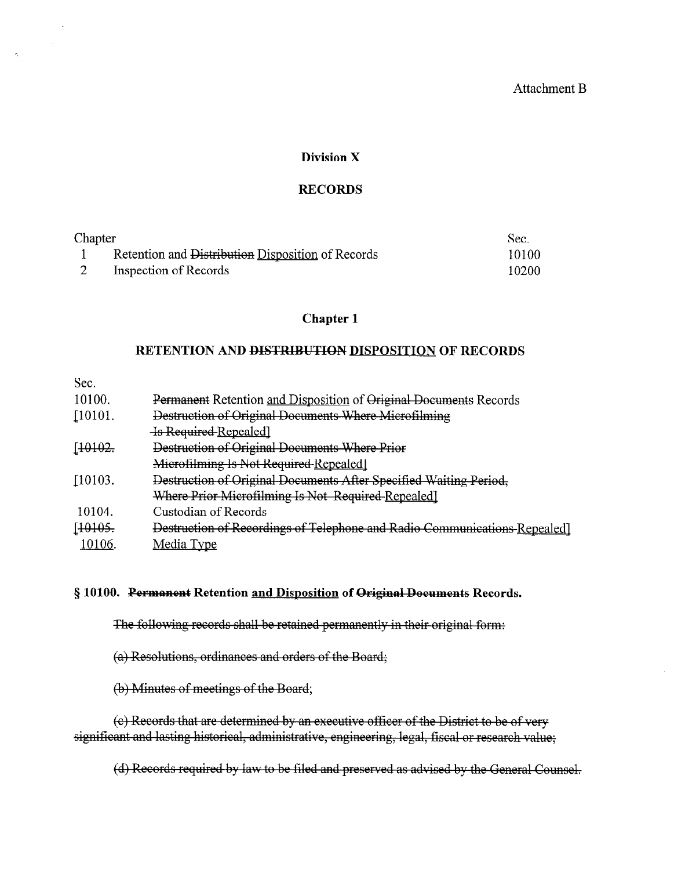#### Attachment B

#### Division X

#### RECORDS

| Chapter |                                                   | Sec.  |
|---------|---------------------------------------------------|-------|
|         | Retention and Distribution Disposition of Records | 10100 |
|         | Inspection of Records                             | 10200 |

## Chapter 1

## RETENTION AND DISTRIBUTION DISPOSITION OF RECORDS

Sec.

 $\sigma_{\rm c}$ 

| Permanent Retention and Disposition of Original Documents Records         |
|---------------------------------------------------------------------------|
| Destruction of Original Documents Where Microfilming                      |
| <b>Is Required Repealed</b>                                               |
| Destruction of Original Documents Where Prior                             |
| Microfilming Is Not Required Repealed]                                    |
| Destruction of Original Documents After Specified Waiting Period,         |
| Where Prior Microfilming Is Not Required Repealed]                        |
| Custodian of Records                                                      |
| Destruction of Recordings of Telephone and Radio Communications-Repealed] |
| Media Type                                                                |
|                                                                           |

#### § 10100. Permanent Retention and Disposition of Original Documents Records.

The following records shall be retained permanently in their original form:

(a) Resolutions, ordinances and orders of the Board;

(b) Minutes of meetings of the Board;

(e) Records that are determined by an executive officer of the District to be of very significant and lasting historical, administrative, engineering, legal, fiscal or research value;

(d) Records required by law to be filed and preserved as advised by the General Counsel.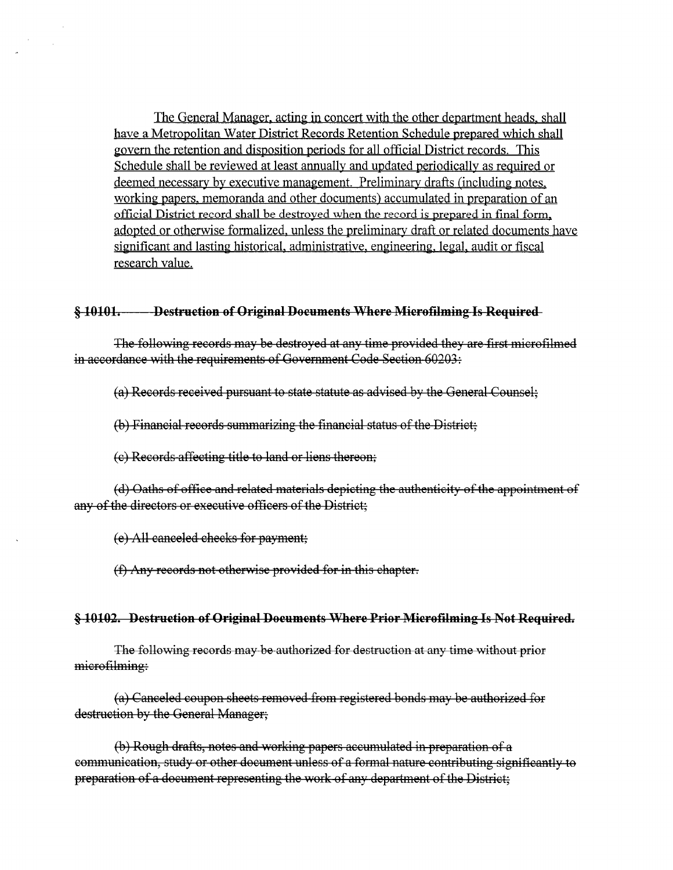The General Manager, acting in concert with the other department heads, shall have a Metropolitan Water District Records Retention Schedule prepared which shall govern the retention and disposition periods for all official District records. This Schedule shall be reviewed at least annually and updated periodically as required or deemed necessary by executive management. Preliminary drafts (including notes, working papers, memoranda and other documents) accumulated in preparation of an official District record shall be destroyed when the record is prepared in final form, adopted or otherwise formalized, unless the preliminary draft or related documents have significant and lasting historical, administrative, engineering, legal, audit or fiscal research value.

#### Destruction of Original Documents Where Microfilming Is Required  $$10101-$

The following records may be destroved at any time provided they are first microfilmed in accordance with the requirements of Government Code Section 60203:

(a) Records received pursuant to state statute as advised by the General Counsel:

(b) Financial records summarizing the financial status of the District;

(e) Records affecting title to land or liens thereon;

(d) Oaths of office and related materials depicting the authenticity of the appointment of any of the directors or executive officers of the District:

(e) All canceled checks for payment.

(f) Any records not otherwise provided for in this chapter.

#### § 10102. Destruction of Original Documents Where Prior Microfilming Is Not Required.

The following records may be authorized for destruction at any time without prior microfilming:

(a) Canceled coupon sheets removed from registered bonds may be authorized for destruction by the General Manager;

(b) Rough drafts, notes and working papers accumulated in preparation of a communication, study or other document unless of a formal nature contributing significantly to preparation of a document representing the work of any department of the District: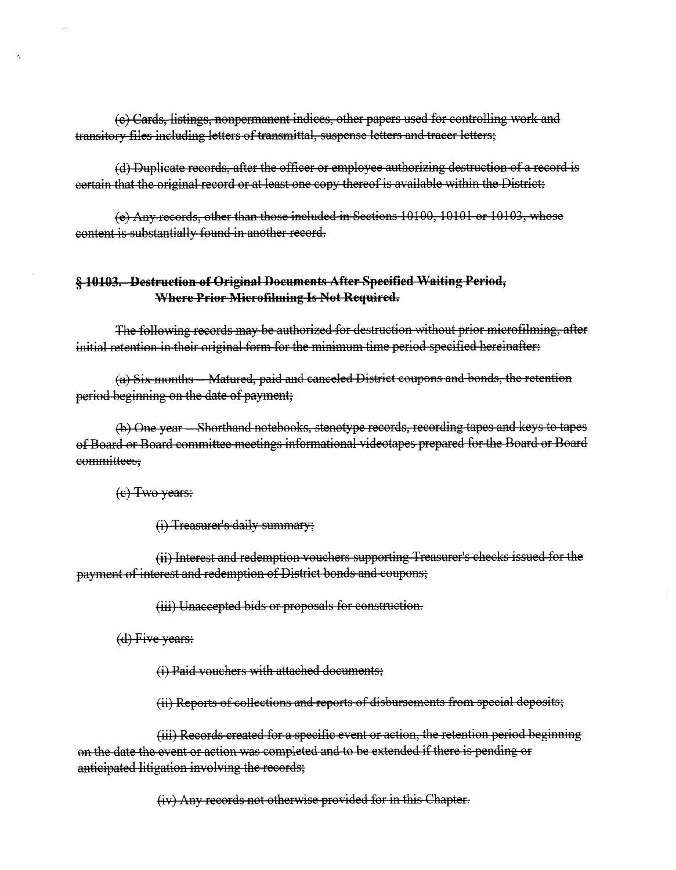(e) Cards, listings, nonpermanent indices, other papers used for controlling work and transitory files including letters of transmittal, suspense letters and tracer letters;

(d) Duplicate records, after the officer or employee authorizing destruction of a record is eertain that the original record or at least one copy thereof is available within the District;

(e) Any records, other than those included in Sections 10100, 10101 or 10103, whose content is substantially found in another record.

## **§ 10103. Destruction of Original Documents After Specified Waiting Period,** Where Prior Microfilming Is Not Required.

The following records may be authorized for destruction without prior microfilming, after initial retention in their original form for the minimum time period specified hereinafter:

(a) Six months - Matured, paid and canceled District coupons and bonds, the retention period beginning on the date of payment;

(b) One year – Shorthand notebooks, stenotype records, recording tapes and keys to tapes of Board or Board committee meetings informational videotapes prepared for the Board or Board committees:

 $(e)$  Two years:

(i) Treasurer's daily summary;

(ii) Interest and redemption vouchers supporting Treasurer's checks issued for the payment of interest and redemption of District bonds and coupons;

(iii) Unaccepted bids or proposals for construction.

 $(d)$  Five years:

(i) Paid vouchers with attached documents;

(ii) Reports of collections and reports of disbursements from special deposits;

(iii) Records created for a specific event or action, the retention period beginning on the date the event or action was completed and to be extended if there is pending or anticipated litigation involving the records;

(iv) Any records not otherwise provided for in this Chapter.